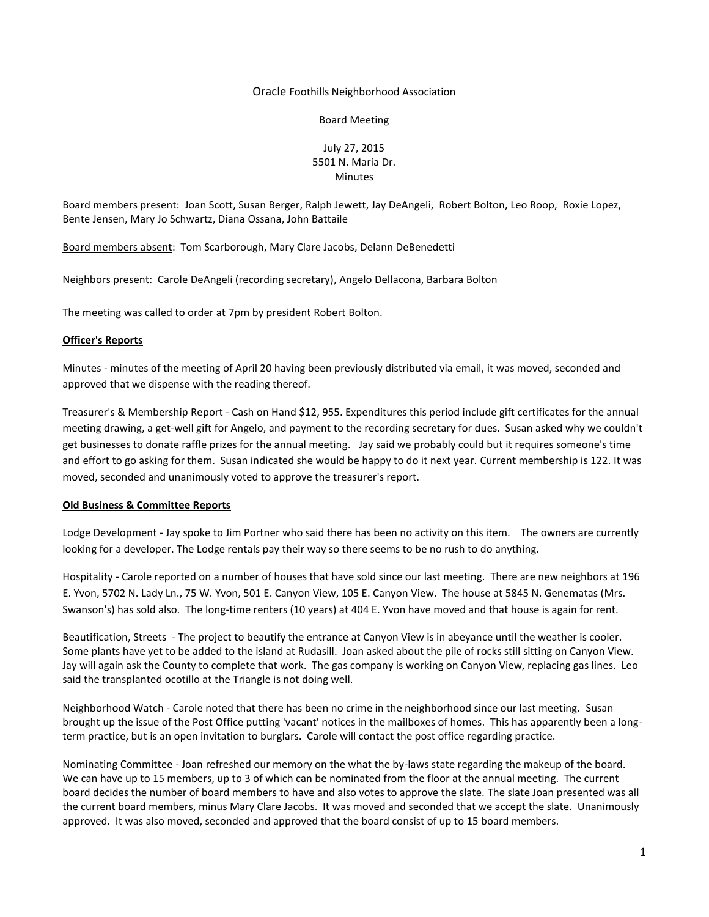#### Oracle Foothills Neighborhood Association

#### Board Meeting

# July 27, 2015 5501 N. Maria Dr. Minutes

Board members present: Joan Scott, Susan Berger, Ralph Jewett, Jay DeAngeli, Robert Bolton, Leo Roop, Roxie Lopez, Bente Jensen, Mary Jo Schwartz, Diana Ossana, John Battaile

Board members absent: Tom Scarborough, Mary Clare Jacobs, Delann DeBenedetti

Neighbors present: Carole DeAngeli (recording secretary), Angelo Dellacona, Barbara Bolton

The meeting was called to order at 7pm by president Robert Bolton.

# **Officer's Reports**

Minutes - minutes of the meeting of April 20 having been previously distributed via email, it was moved, seconded and approved that we dispense with the reading thereof.

Treasurer's & Membership Report - Cash on Hand \$12, 955. Expenditures this period include gift certificates for the annual meeting drawing, a get-well gift for Angelo, and payment to the recording secretary for dues. Susan asked why we couldn't get businesses to donate raffle prizes for the annual meeting. Jay said we probably could but it requires someone's time and effort to go asking for them. Susan indicated she would be happy to do it next year. Current membership is 122. It was moved, seconded and unanimously voted to approve the treasurer's report.

# **Old Business & Committee Reports**

Lodge Development - Jay spoke to Jim Portner who said there has been no activity on this item. The owners are currently looking for a developer. The Lodge rentals pay their way so there seems to be no rush to do anything.

Hospitality - Carole reported on a number of houses that have sold since our last meeting. There are new neighbors at 196 E. Yvon, 5702 N. Lady Ln., 75 W. Yvon, 501 E. Canyon View, 105 E. Canyon View. The house at 5845 N. Genematas (Mrs. Swanson's) has sold also. The long-time renters (10 years) at 404 E. Yvon have moved and that house is again for rent.

Beautification, Streets - The project to beautify the entrance at Canyon View is in abeyance until the weather is cooler. Some plants have yet to be added to the island at Rudasill. Joan asked about the pile of rocks still sitting on Canyon View. Jay will again ask the County to complete that work. The gas company is working on Canyon View, replacing gas lines. Leo said the transplanted ocotillo at the Triangle is not doing well.

Neighborhood Watch - Carole noted that there has been no crime in the neighborhood since our last meeting. Susan brought up the issue of the Post Office putting 'vacant' notices in the mailboxes of homes. This has apparently been a longterm practice, but is an open invitation to burglars. Carole will contact the post office regarding practice.

Nominating Committee - Joan refreshed our memory on the what the by-laws state regarding the makeup of the board. We can have up to 15 members, up to 3 of which can be nominated from the floor at the annual meeting. The current board decides the number of board members to have and also votes to approve the slate. The slate Joan presented was all the current board members, minus Mary Clare Jacobs. It was moved and seconded that we accept the slate. Unanimously approved. It was also moved, seconded and approved that the board consist of up to 15 board members.